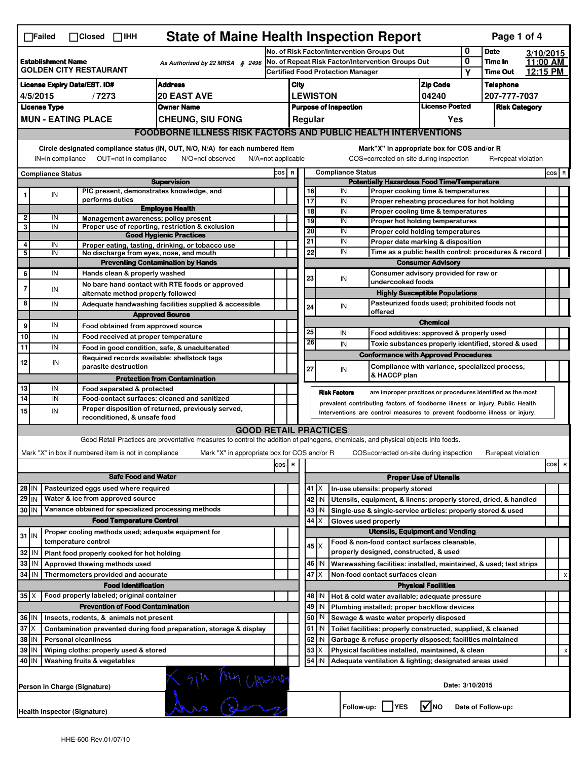| <b>State of Maine Health Inspection Report</b><br>Page 1 of 4<br>$\Box$ Failed<br>$\Box$ Closed $\Box$ IHH |                                                                                                                                                                                                                                                                                           |                                                      |                                                                                                                                                                   |  |                                                             |  |                 |                              |                                                                                           |                               |                 |                      |           |         |   |
|------------------------------------------------------------------------------------------------------------|-------------------------------------------------------------------------------------------------------------------------------------------------------------------------------------------------------------------------------------------------------------------------------------------|------------------------------------------------------|-------------------------------------------------------------------------------------------------------------------------------------------------------------------|--|-------------------------------------------------------------|--|-----------------|------------------------------|-------------------------------------------------------------------------------------------|-------------------------------|-----------------|----------------------|-----------|---------|---|
|                                                                                                            |                                                                                                                                                                                                                                                                                           |                                                      |                                                                                                                                                                   |  | No. of Risk Factor/Intervention Groups Out                  |  |                 |                              |                                                                                           |                               | 0               | <b>Date</b>          | 3/10/2015 |         |   |
| <b>Establishment Name</b><br>As Authorized by 22 MRSA § 2496<br><b>GOLDEN CITY RESTAURANT</b>              |                                                                                                                                                                                                                                                                                           |                                                      |                                                                                                                                                                   |  | No. of Repeat Risk Factor/Intervention Groups Out           |  |                 |                              |                                                                                           |                               | 0               | Time In              | 11:00 AM  |         |   |
|                                                                                                            |                                                                                                                                                                                                                                                                                           |                                                      |                                                                                                                                                                   |  | <b>Certified Food Protection Manager</b>                    |  |                 |                              |                                                                                           | Υ                             | <b>Time Out</b> | 12:15 PM             |           |         |   |
| <b>License Expiry Date/EST. ID#</b><br><b>Address</b>                                                      |                                                                                                                                                                                                                                                                                           |                                                      |                                                                                                                                                                   |  | <b>Zip Code</b><br>City                                     |  |                 |                              |                                                                                           |                               | Telephone       |                      |           |         |   |
| <b>20 EAST AVE</b><br>4/5/2015<br>/7273                                                                    |                                                                                                                                                                                                                                                                                           |                                                      |                                                                                                                                                                   |  | <b>LEWISTON</b><br>04240                                    |  |                 |                              |                                                                                           |                               | 207-777-7037    |                      |           |         |   |
|                                                                                                            | <b>License Type</b>                                                                                                                                                                                                                                                                       |                                                      | <b>Owner Name</b>                                                                                                                                                 |  |                                                             |  |                 | <b>Purpose of Inspection</b> |                                                                                           | <b>License Posted</b>         |                 | <b>Risk Category</b> |           |         |   |
|                                                                                                            | <b>MUN - EATING PLACE</b><br><b>CHEUNG, SIU FONG</b>                                                                                                                                                                                                                                      |                                                      |                                                                                                                                                                   |  |                                                             |  | Regular         |                              |                                                                                           | Yes                           |                 |                      |           |         |   |
|                                                                                                            | <b>FOODBORNE ILLNESS RISK FACTORS AND PUBLIC HEALTH INTERVENTIONS</b>                                                                                                                                                                                                                     |                                                      |                                                                                                                                                                   |  |                                                             |  |                 |                              |                                                                                           |                               |                 |                      |           |         |   |
|                                                                                                            | Circle designated compliance status (IN, OUT, N/O, N/A) for each numbered item<br>Mark"X" in appropriate box for COS and/or R<br>OUT=not in compliance<br>COS=corrected on-site during inspection<br>IN=in compliance<br>N/O=not observed<br>$N/A = not$ applicable<br>R=repeat violation |                                                      |                                                                                                                                                                   |  |                                                             |  |                 |                              |                                                                                           |                               |                 |                      |           |         |   |
|                                                                                                            |                                                                                                                                                                                                                                                                                           |                                                      |                                                                                                                                                                   |  |                                                             |  |                 | <b>Compliance Status</b>     |                                                                                           |                               |                 |                      |           | $cos$ R |   |
| Compliance Status<br><b>Supervision</b>                                                                    |                                                                                                                                                                                                                                                                                           |                                                      |                                                                                                                                                                   |  | COS R<br><b>Potentially Hazardous Food Time/Temperature</b> |  |                 |                              |                                                                                           |                               |                 |                      |           |         |   |
| 1                                                                                                          | IN                                                                                                                                                                                                                                                                                        | PIC present, demonstrates knowledge, and             |                                                                                                                                                                   |  |                                                             |  | 16              | IN                           | Proper cooking time & temperatures                                                        |                               |                 |                      |           |         |   |
|                                                                                                            |                                                                                                                                                                                                                                                                                           | performs duties                                      |                                                                                                                                                                   |  |                                                             |  | $\overline{17}$ | IN                           | Proper reheating procedures for hot holding                                               |                               |                 |                      |           |         |   |
| 2                                                                                                          | IN                                                                                                                                                                                                                                                                                        | Management awareness; policy present                 | <b>Employee Health</b>                                                                                                                                            |  |                                                             |  | $\overline{18}$ | IN                           | Proper cooling time & temperatures                                                        |                               |                 |                      |           |         |   |
| 3                                                                                                          | IN                                                                                                                                                                                                                                                                                        |                                                      | Proper use of reporting, restriction & exclusion                                                                                                                  |  |                                                             |  | 19              | IN                           | Proper hot holding temperatures                                                           |                               |                 |                      |           |         |   |
|                                                                                                            |                                                                                                                                                                                                                                                                                           |                                                      | <b>Good Hygienic Practices</b>                                                                                                                                    |  |                                                             |  | 20<br>21        | IN<br>IN                     | Proper cold holding temperatures                                                          |                               |                 |                      |           |         |   |
| 4<br>5                                                                                                     | IN<br>IN                                                                                                                                                                                                                                                                                  |                                                      | Proper eating, tasting, drinking, or tobacco use                                                                                                                  |  |                                                             |  | 22              | IN                           | Proper date marking & disposition<br>Time as a public health control: procedures & record |                               |                 |                      |           |         |   |
|                                                                                                            |                                                                                                                                                                                                                                                                                           | No discharge from eyes, nose, and mouth              | <b>Preventing Contamination by Hands</b>                                                                                                                          |  |                                                             |  |                 |                              |                                                                                           | <b>Consumer Advisory</b>      |                 |                      |           |         |   |
| 6                                                                                                          | IN                                                                                                                                                                                                                                                                                        | Hands clean & properly washed                        |                                                                                                                                                                   |  |                                                             |  |                 |                              | Consumer advisory provided for raw or                                                     |                               |                 |                      |           |         |   |
|                                                                                                            |                                                                                                                                                                                                                                                                                           |                                                      | No bare hand contact with RTE foods or approved                                                                                                                   |  |                                                             |  | 23              | IN                           | undercooked foods                                                                         |                               |                 |                      |           |         |   |
| 7                                                                                                          | IN                                                                                                                                                                                                                                                                                        | alternate method properly followed                   |                                                                                                                                                                   |  |                                                             |  |                 |                              | <b>Highly Susceptible Populations</b>                                                     |                               |                 |                      |           |         |   |
| 8                                                                                                          | IN                                                                                                                                                                                                                                                                                        |                                                      | Adequate handwashing facilities supplied & accessible                                                                                                             |  |                                                             |  | 24              | IN                           | Pasteurized foods used; prohibited foods not                                              |                               |                 |                      |           |         |   |
|                                                                                                            |                                                                                                                                                                                                                                                                                           |                                                      | <b>Approved Source</b>                                                                                                                                            |  |                                                             |  |                 |                              | offered                                                                                   |                               |                 |                      |           |         |   |
| 9                                                                                                          | IN                                                                                                                                                                                                                                                                                        | Food obtained from approved source                   |                                                                                                                                                                   |  |                                                             |  |                 |                              |                                                                                           | <b>Chemical</b>               |                 |                      |           |         |   |
| 10                                                                                                         | IN                                                                                                                                                                                                                                                                                        | Food received at proper temperature                  |                                                                                                                                                                   |  |                                                             |  | 25              | IN                           | Food additives: approved & properly used                                                  |                               |                 |                      |           |         |   |
| 11                                                                                                         | IN                                                                                                                                                                                                                                                                                        |                                                      | Food in good condition, safe, & unadulterated                                                                                                                     |  |                                                             |  | 26              | IN                           | Toxic substances properly identified, stored & used                                       |                               |                 |                      |           |         |   |
|                                                                                                            |                                                                                                                                                                                                                                                                                           | Required records available: shellstock tags          |                                                                                                                                                                   |  |                                                             |  |                 |                              | <b>Conformance with Approved Procedures</b>                                               |                               |                 |                      |           |         |   |
| 12                                                                                                         | IN                                                                                                                                                                                                                                                                                        | parasite destruction                                 |                                                                                                                                                                   |  |                                                             |  | 27              | IN                           | Compliance with variance, specialized process,                                            |                               |                 |                      |           |         |   |
|                                                                                                            |                                                                                                                                                                                                                                                                                           |                                                      | <b>Protection from Contamination</b>                                                                                                                              |  |                                                             |  |                 |                              | & HACCP plan                                                                              |                               |                 |                      |           |         |   |
| 13                                                                                                         | IN                                                                                                                                                                                                                                                                                        | Food separated & protected                           |                                                                                                                                                                   |  |                                                             |  |                 | <b>Risk Factors</b>          | are improper practices or procedures identified as the most                               |                               |                 |                      |           |         |   |
| 14                                                                                                         | IN                                                                                                                                                                                                                                                                                        |                                                      | Food-contact surfaces: cleaned and sanitized                                                                                                                      |  |                                                             |  |                 |                              |                                                                                           |                               |                 |                      |           |         |   |
| 15                                                                                                         | prevalent contributing factors of foodborne illness or injury. Public Health<br>Proper disposition of returned, previously served,<br>IN<br>Interventions are control measures to prevent foodborne illness or injury.                                                                    |                                                      |                                                                                                                                                                   |  |                                                             |  |                 |                              |                                                                                           |                               |                 |                      |           |         |   |
|                                                                                                            |                                                                                                                                                                                                                                                                                           | reconditioned, & unsafe food                         |                                                                                                                                                                   |  |                                                             |  |                 |                              |                                                                                           |                               |                 |                      |           |         |   |
|                                                                                                            |                                                                                                                                                                                                                                                                                           |                                                      | <b>GOOD RETAIL PRACTICES</b><br>Good Retail Practices are preventative measures to control the addition of pathogens, chemicals, and physical objects into foods. |  |                                                             |  |                 |                              |                                                                                           |                               |                 |                      |           |         |   |
|                                                                                                            |                                                                                                                                                                                                                                                                                           |                                                      |                                                                                                                                                                   |  |                                                             |  |                 |                              |                                                                                           |                               |                 |                      |           |         |   |
|                                                                                                            | Mark "X" in box if numbered item is not in compliance<br>Mark "X" in appropriate box for COS and/or R<br>COS=corrected on-site during inspection<br>R=repeat violation                                                                                                                    |                                                      |                                                                                                                                                                   |  |                                                             |  |                 |                              |                                                                                           |                               |                 |                      |           |         |   |
| R<br>cos                                                                                                   |                                                                                                                                                                                                                                                                                           |                                                      |                                                                                                                                                                   |  |                                                             |  | cos             | R                            |                                                                                           |                               |                 |                      |           |         |   |
|                                                                                                            | <b>Safe Food and Water</b>                                                                                                                                                                                                                                                                |                                                      |                                                                                                                                                                   |  |                                                             |  |                 |                              |                                                                                           | <b>Proper Use of Utensils</b> |                 |                      |           |         |   |
| Pasteurized eggs used where required<br>28 IN                                                              |                                                                                                                                                                                                                                                                                           |                                                      |                                                                                                                                                                   |  |                                                             |  | $41$ $\times$   |                              | In-use utensils: properly stored                                                          |                               |                 |                      |           |         |   |
| 29 IN                                                                                                      |                                                                                                                                                                                                                                                                                           | Water & ice from approved source                     |                                                                                                                                                                   |  |                                                             |  | 42 IN           |                              | Utensils, equipment, & linens: properly stored, dried, & handled                          |                               |                 |                      |           |         |   |
| 30 IN                                                                                                      |                                                                                                                                                                                                                                                                                           | Variance obtained for specialized processing methods |                                                                                                                                                                   |  |                                                             |  | $43$ IN         |                              | Single-use & single-service articles: properly stored & used                              |                               |                 |                      |           |         |   |
|                                                                                                            | <b>Food Temperature Control</b>                                                                                                                                                                                                                                                           |                                                      |                                                                                                                                                                   |  |                                                             |  | 44<br>ΙX        |                              | Gloves used properly                                                                      |                               |                 |                      |           |         |   |
| $31$ IN                                                                                                    |                                                                                                                                                                                                                                                                                           | Proper cooling methods used; adequate equipment for  |                                                                                                                                                                   |  |                                                             |  |                 |                              | <b>Utensils, Equipment and Vending</b>                                                    |                               |                 |                      |           |         |   |
|                                                                                                            |                                                                                                                                                                                                                                                                                           | temperature control                                  |                                                                                                                                                                   |  |                                                             |  | $45 \mid X$     |                              | Food & non-food contact surfaces cleanable,                                               |                               |                 |                      |           |         |   |
| 32 IN                                                                                                      |                                                                                                                                                                                                                                                                                           | Plant food properly cooked for hot holding           |                                                                                                                                                                   |  |                                                             |  |                 |                              | properly designed, constructed, & used                                                    |                               |                 |                      |           |         |   |
| 33 IN                                                                                                      |                                                                                                                                                                                                                                                                                           | Approved thawing methods used                        |                                                                                                                                                                   |  |                                                             |  | 46   IN         |                              | Warewashing facilities: installed, maintained, & used; test strips                        |                               |                 |                      |           |         |   |
| 34   IN                                                                                                    |                                                                                                                                                                                                                                                                                           | Thermometers provided and accurate                   |                                                                                                                                                                   |  |                                                             |  | 47<br>X         |                              | Non-food contact surfaces clean                                                           |                               |                 |                      |           |         | X |
|                                                                                                            |                                                                                                                                                                                                                                                                                           | <b>Food Identification</b>                           |                                                                                                                                                                   |  |                                                             |  |                 |                              |                                                                                           | <b>Physical Facilities</b>    |                 |                      |           |         |   |
|                                                                                                            | $35$ $\times$<br>Food properly labeled; original container                                                                                                                                                                                                                                |                                                      |                                                                                                                                                                   |  |                                                             |  | 48   IN         |                              | Hot & cold water available; adequate pressure                                             |                               |                 |                      |           |         |   |
| <b>Prevention of Food Contamination</b>                                                                    |                                                                                                                                                                                                                                                                                           |                                                      |                                                                                                                                                                   |  |                                                             |  | 49 IN           |                              | Plumbing installed; proper backflow devices                                               |                               |                 |                      |           |         |   |
|                                                                                                            | 36 IN<br>Insects, rodents, & animals not present                                                                                                                                                                                                                                          |                                                      |                                                                                                                                                                   |  |                                                             |  | 50   IN         |                              | Sewage & waste water properly disposed                                                    |                               |                 |                      |           |         |   |
| $37$ $\times$                                                                                              |                                                                                                                                                                                                                                                                                           |                                                      | Contamination prevented during food preparation, storage & display                                                                                                |  |                                                             |  | 51   IN         |                              | Toilet facilities: properly constructed, supplied, & cleaned                              |                               |                 |                      |           |         |   |
| 38 IN                                                                                                      |                                                                                                                                                                                                                                                                                           | <b>Personal cleanliness</b>                          |                                                                                                                                                                   |  |                                                             |  | 52<br>IN        |                              | Garbage & refuse properly disposed; facilities maintained                                 |                               |                 |                      |           |         |   |
| 39 IN                                                                                                      |                                                                                                                                                                                                                                                                                           | Wiping cloths: properly used & stored                |                                                                                                                                                                   |  |                                                             |  | 53<br>X         |                              | Physical facilities installed, maintained, & clean                                        |                               |                 |                      |           |         | x |
| 40 IN                                                                                                      |                                                                                                                                                                                                                                                                                           | Washing fruits & vegetables                          |                                                                                                                                                                   |  |                                                             |  | 54 IN           |                              | Adequate ventilation & lighting; designated areas used                                    |                               |                 |                      |           |         |   |
|                                                                                                            | 2/10 Level Cherria<br>Date: 3/10/2015<br>Person in Charge (Signature)                                                                                                                                                                                                                     |                                                      |                                                                                                                                                                   |  |                                                             |  |                 |                              |                                                                                           |                               |                 |                      |           |         |   |
|                                                                                                            | l√Ino<br>Follow-up:  <br><b>IYES</b><br>Date of Follow-up:<br>Health Inspector (Signature)                                                                                                                                                                                                |                                                      |                                                                                                                                                                   |  |                                                             |  |                 |                              |                                                                                           |                               |                 |                      |           |         |   |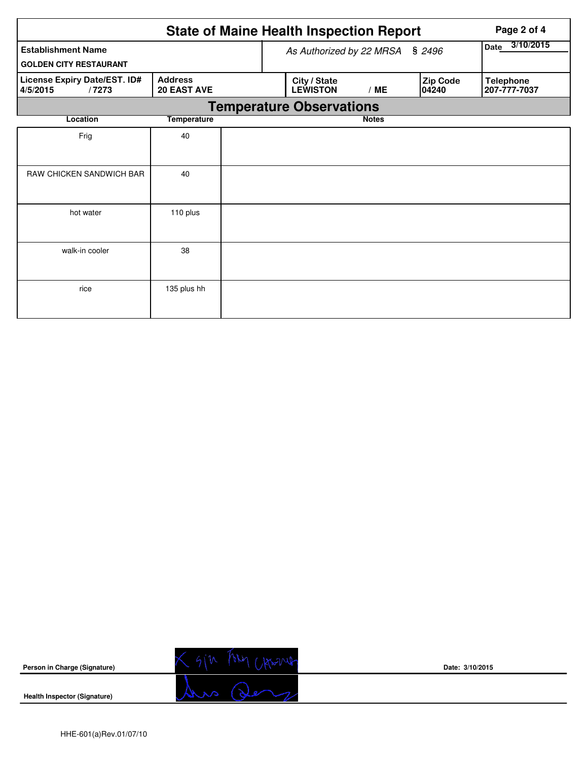|                                                   |                                      |                          | <b>State of Maine Health Inspection Report</b> | Page 2 of 4 |                   |                                  |  |  |  |
|---------------------------------------------------|--------------------------------------|--------------------------|------------------------------------------------|-------------|-------------------|----------------------------------|--|--|--|
| <b>Establishment Name</b>                         |                                      | As Authorized by 22 MRSA | 3/10/2015<br>Date                              |             |                   |                                  |  |  |  |
| <b>GOLDEN CITY RESTAURANT</b>                     |                                      |                          |                                                |             |                   |                                  |  |  |  |
| License Expiry Date/EST. ID#<br>4/5/2015<br>/7273 | <b>Address</b><br><b>20 EAST AVE</b> |                          | City / State<br><b>LEWISTON</b>                | /ME         | Zip Code<br>04240 | <b>Telephone</b><br>207-777-7037 |  |  |  |
| <b>Temperature Observations</b>                   |                                      |                          |                                                |             |                   |                                  |  |  |  |
| Location                                          | <b>Temperature</b>                   |                          | <b>Notes</b>                                   |             |                   |                                  |  |  |  |
| Frig                                              | 40                                   |                          |                                                |             |                   |                                  |  |  |  |
| RAW CHICKEN SANDWICH BAR                          | 40                                   |                          |                                                |             |                   |                                  |  |  |  |
| hot water                                         | 110 plus                             |                          |                                                |             |                   |                                  |  |  |  |
| walk-in cooler                                    | 38                                   |                          |                                                |             |                   |                                  |  |  |  |
| rice                                              | 135 plus hh                          |                          |                                                |             |                   |                                  |  |  |  |

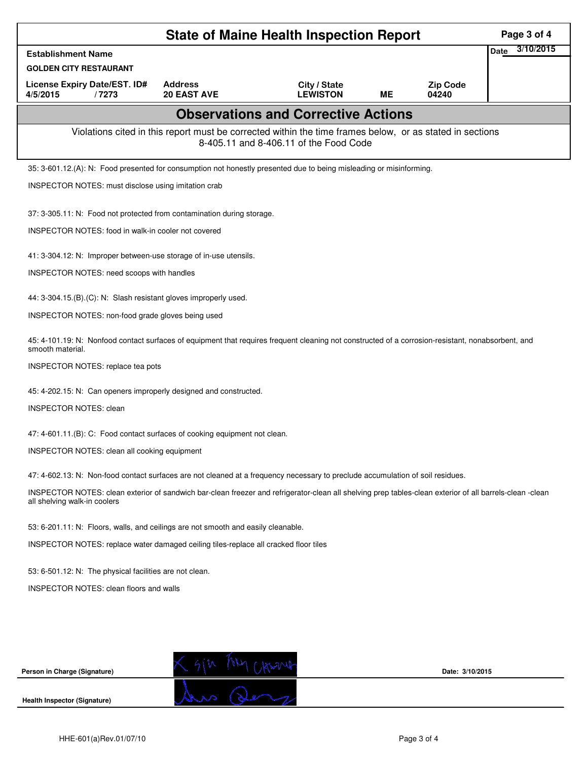| <b>Date</b><br><b>Establishment Name</b><br><b>GOLDEN CITY RESTAURANT</b><br><b>Address</b><br><b>License Expiry Date/EST. ID#</b><br><b>Zip Code</b><br>City / State<br>/7273<br><b>20 EAST AVE</b><br><b>LEWISTON</b><br>ME<br>04240<br>4/5/2015<br><b>Observations and Corrective Actions</b><br>Violations cited in this report must be corrected within the time frames below, or as stated in sections<br>8-405.11 and 8-406.11 of the Food Code<br>35: 3-601.12.(A): N: Food presented for consumption not honestly presented due to being misleading or misinforming.<br>INSPECTOR NOTES: must disclose using imitation crab<br>37: 3-305.11: N: Food not protected from contamination during storage.<br>INSPECTOR NOTES: food in walk-in cooler not covered | 3/10/2015 |  |  |  |  |  |  |  |
|-----------------------------------------------------------------------------------------------------------------------------------------------------------------------------------------------------------------------------------------------------------------------------------------------------------------------------------------------------------------------------------------------------------------------------------------------------------------------------------------------------------------------------------------------------------------------------------------------------------------------------------------------------------------------------------------------------------------------------------------------------------------------|-----------|--|--|--|--|--|--|--|
|                                                                                                                                                                                                                                                                                                                                                                                                                                                                                                                                                                                                                                                                                                                                                                       |           |  |  |  |  |  |  |  |
|                                                                                                                                                                                                                                                                                                                                                                                                                                                                                                                                                                                                                                                                                                                                                                       |           |  |  |  |  |  |  |  |
|                                                                                                                                                                                                                                                                                                                                                                                                                                                                                                                                                                                                                                                                                                                                                                       |           |  |  |  |  |  |  |  |
|                                                                                                                                                                                                                                                                                                                                                                                                                                                                                                                                                                                                                                                                                                                                                                       |           |  |  |  |  |  |  |  |
|                                                                                                                                                                                                                                                                                                                                                                                                                                                                                                                                                                                                                                                                                                                                                                       |           |  |  |  |  |  |  |  |
|                                                                                                                                                                                                                                                                                                                                                                                                                                                                                                                                                                                                                                                                                                                                                                       |           |  |  |  |  |  |  |  |
|                                                                                                                                                                                                                                                                                                                                                                                                                                                                                                                                                                                                                                                                                                                                                                       |           |  |  |  |  |  |  |  |
|                                                                                                                                                                                                                                                                                                                                                                                                                                                                                                                                                                                                                                                                                                                                                                       |           |  |  |  |  |  |  |  |
|                                                                                                                                                                                                                                                                                                                                                                                                                                                                                                                                                                                                                                                                                                                                                                       |           |  |  |  |  |  |  |  |
| 41: 3-304.12: N: Improper between-use storage of in-use utensils.                                                                                                                                                                                                                                                                                                                                                                                                                                                                                                                                                                                                                                                                                                     |           |  |  |  |  |  |  |  |
| INSPECTOR NOTES: need scoops with handles                                                                                                                                                                                                                                                                                                                                                                                                                                                                                                                                                                                                                                                                                                                             |           |  |  |  |  |  |  |  |
| 44: 3-304.15.(B).(C): N: Slash resistant gloves improperly used.                                                                                                                                                                                                                                                                                                                                                                                                                                                                                                                                                                                                                                                                                                      |           |  |  |  |  |  |  |  |
| INSPECTOR NOTES: non-food grade gloves being used                                                                                                                                                                                                                                                                                                                                                                                                                                                                                                                                                                                                                                                                                                                     |           |  |  |  |  |  |  |  |
| 45: 4-101.19: N: Nonfood contact surfaces of equipment that requires frequent cleaning not constructed of a corrosion-resistant, nonabsorbent, and<br>smooth material.                                                                                                                                                                                                                                                                                                                                                                                                                                                                                                                                                                                                |           |  |  |  |  |  |  |  |
| INSPECTOR NOTES: replace tea pots                                                                                                                                                                                                                                                                                                                                                                                                                                                                                                                                                                                                                                                                                                                                     |           |  |  |  |  |  |  |  |
| 45: 4-202.15: N: Can openers improperly designed and constructed.                                                                                                                                                                                                                                                                                                                                                                                                                                                                                                                                                                                                                                                                                                     |           |  |  |  |  |  |  |  |
| <b>INSPECTOR NOTES: clean</b>                                                                                                                                                                                                                                                                                                                                                                                                                                                                                                                                                                                                                                                                                                                                         |           |  |  |  |  |  |  |  |
| 47: 4-601.11.(B): C: Food contact surfaces of cooking equipment not clean.                                                                                                                                                                                                                                                                                                                                                                                                                                                                                                                                                                                                                                                                                            |           |  |  |  |  |  |  |  |
| INSPECTOR NOTES: clean all cooking equipment                                                                                                                                                                                                                                                                                                                                                                                                                                                                                                                                                                                                                                                                                                                          |           |  |  |  |  |  |  |  |
| 47: 4-602.13: N: Non-food contact surfaces are not cleaned at a frequency necessary to preclude accumulation of soil residues.                                                                                                                                                                                                                                                                                                                                                                                                                                                                                                                                                                                                                                        |           |  |  |  |  |  |  |  |
| INSPECTOR NOTES: clean exterior of sandwich bar-clean freezer and refrigerator-clean all shelving prep tables-clean exterior of all barrels-clean -clean<br>all shelving walk-in coolers                                                                                                                                                                                                                                                                                                                                                                                                                                                                                                                                                                              |           |  |  |  |  |  |  |  |
| 53: 6-201.11: N: Floors, walls, and ceilings are not smooth and easily cleanable.                                                                                                                                                                                                                                                                                                                                                                                                                                                                                                                                                                                                                                                                                     |           |  |  |  |  |  |  |  |
| INSPECTOR NOTES: replace water damaged ceiling tiles-replace all cracked floor tiles                                                                                                                                                                                                                                                                                                                                                                                                                                                                                                                                                                                                                                                                                  |           |  |  |  |  |  |  |  |
| 53: 6-501.12: N: The physical facilities are not clean.                                                                                                                                                                                                                                                                                                                                                                                                                                                                                                                                                                                                                                                                                                               |           |  |  |  |  |  |  |  |
| INSPECTOR NOTES: clean floors and walls                                                                                                                                                                                                                                                                                                                                                                                                                                                                                                                                                                                                                                                                                                                               |           |  |  |  |  |  |  |  |
|                                                                                                                                                                                                                                                                                                                                                                                                                                                                                                                                                                                                                                                                                                                                                                       |           |  |  |  |  |  |  |  |
|                                                                                                                                                                                                                                                                                                                                                                                                                                                                                                                                                                                                                                                                                                                                                                       |           |  |  |  |  |  |  |  |
|                                                                                                                                                                                                                                                                                                                                                                                                                                                                                                                                                                                                                                                                                                                                                                       |           |  |  |  |  |  |  |  |
| Person in Charge (Signature)<br>Date: 3/10/2015                                                                                                                                                                                                                                                                                                                                                                                                                                                                                                                                                                                                                                                                                                                       |           |  |  |  |  |  |  |  |
| <b>Health Inspector (Signature)</b>                                                                                                                                                                                                                                                                                                                                                                                                                                                                                                                                                                                                                                                                                                                                   |           |  |  |  |  |  |  |  |